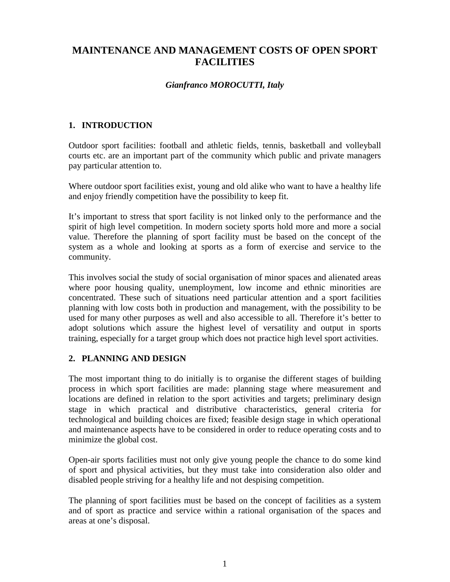# **MAINTENANCE AND MANAGEMENT COSTS OF OPEN SPORT FACILITIES**

#### *Gianfranco MOROCUTTI, Italy*

## **1. INTRODUCTION**

Outdoor sport facilities: football and athletic fields, tennis, basketball and volleyball courts etc. are an important part of the community which public and private managers pay particular attention to.

Where outdoor sport facilities exist, young and old alike who want to have a healthy life and enjoy friendly competition have the possibility to keep fit.

It's important to stress that sport facility is not linked only to the performance and the spirit of high level competition. In modern society sports hold more and more a social value. Therefore the planning of sport facility must be based on the concept of the system as a whole and looking at sports as a form of exercise and service to the community.

This involves social the study of social organisation of minor spaces and alienated areas where poor housing quality, unemployment, low income and ethnic minorities are concentrated. These such of situations need particular attention and a sport facilities planning with low costs both in production and management, with the possibility to be used for many other purposes as well and also accessible to all. Therefore it's better to adopt solutions which assure the highest level of versatility and output in sports training, especially for a target group which does not practice high level sport activities.

## **2. PLANNING AND DESIGN**

The most important thing to do initially is to organise the different stages of building process in which sport facilities are made: planning stage where measurement and locations are defined in relation to the sport activities and targets; preliminary design stage in which practical and distributive characteristics, general criteria for technological and building choices are fixed; feasible design stage in which operational and maintenance aspects have to be considered in order to reduce operating costs and to minimize the global cost.

Open-air sports facilities must not only give young people the chance to do some kind of sport and physical activities, but they must take into consideration also older and disabled people striving for a healthy life and not despising competition.

The planning of sport facilities must be based on the concept of facilities as a system and of sport as practice and service within a rational organisation of the spaces and areas at one's disposal.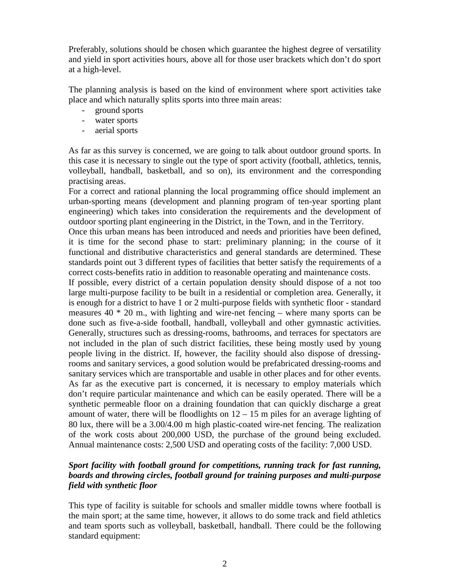Preferably, solutions should be chosen which guarantee the highest degree of versatility and yield in sport activities hours, above all for those user brackets which don't do sport at a high-level.

The planning analysis is based on the kind of environment where sport activities take place and which naturally splits sports into three main areas:

- ground sports
- water sports
- aerial sports

As far as this survey is concerned, we are going to talk about outdoor ground sports. In this case it is necessary to single out the type of sport activity (football, athletics, tennis, volleyball, handball, basketball, and so on), its environment and the corresponding practising areas.

For a correct and rational planning the local programming office should implement an urban-sporting means (development and planning program of ten-year sporting plant engineering) which takes into consideration the requirements and the development of outdoor sporting plant engineering in the District, in the Town, and in the Territory.

Once this urban means has been introduced and needs and priorities have been defined, it is time for the second phase to start: preliminary planning; in the course of it functional and distributive characteristics and general standards are determined. These standards point out 3 different types of facilities that better satisfy the requirements of a correct costs-benefits ratio in addition to reasonable operating and maintenance costs.

If possible, every district of a certain population density should dispose of a not too large multi-purpose facility to be built in a residential or completion area. Generally, it is enough for a district to have 1 or 2 multi-purpose fields with synthetic floor - standard measures  $40 * 20$  m, with lighting and wire-net fencing – where many sports can be done such as five-a-side football, handball, volleyball and other gymnastic activities. Generally, structures such as dressing-rooms, bathrooms, and terraces for spectators are not included in the plan of such district facilities, these being mostly used by young people living in the district. If, however, the facility should also dispose of dressingrooms and sanitary services, a good solution would be prefabricated dressing-rooms and sanitary services which are transportable and usable in other places and for other events. As far as the executive part is concerned, it is necessary to employ materials which don't require particular maintenance and which can be easily operated. There will be a synthetic permeable floor on a draining foundation that can quickly discharge a great amount of water, there will be floodlights on  $12 - 15$  m piles for an average lighting of 80 lux, there will be a 3.00/4.00 m high plastic-coated wire-net fencing. The realization of the work costs about 200,000 USD, the purchase of the ground being excluded. Annual maintenance costs: 2,500 USD and operating costs of the facility: 7,000 USD.

## *Sport facility with football ground for competitions, running track for fast running, boards and throwing circles, football ground for training purposes and multi-purpose field with synthetic floor*

This type of facility is suitable for schools and smaller middle towns where football is the main sport; at the same time, however, it allows to do some track and field athletics and team sports such as volleyball, basketball, handball. There could be the following standard equipment: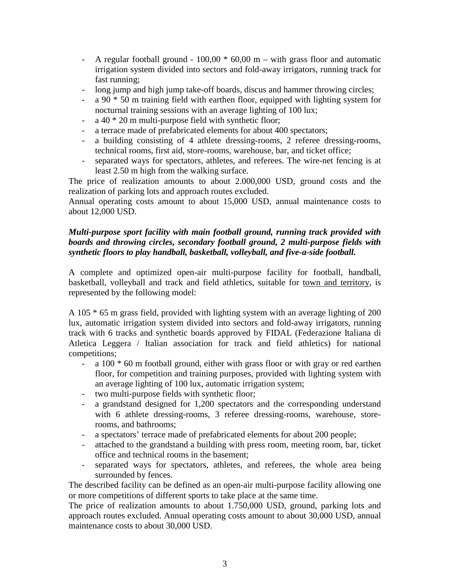- A regular football ground  $100,00 * 60,00$  m with grass floor and automatic irrigation system divided into sectors and fold-away irrigators, running track for fast running;
- long jump and high jump take-off boards, discus and hammer throwing circles;
- $a$  90  $*$  50 m training field with earthen floor, equipped with lighting system for nocturnal training sessions with an average lighting of 100 lux;
- a 40  $*$  20 m multi-purpose field with synthetic floor;
- a terrace made of prefabricated elements for about 400 spectators;
- a building consisting of 4 athlete dressing-rooms, 2 referee dressing-rooms, technical rooms, first aid, store-rooms, warehouse, bar, and ticket office;
- separated ways for spectators, athletes, and referees. The wire-net fencing is at least 2.50 m high from the walking surface.

The price of realization amounts to about 2.000,000 USD, ground costs and the realization of parking lots and approach routes excluded.

Annual operating costs amount to about 15,000 USD, annual maintenance costs to about 12,000 USD.

## *Multi-purpose sport facility with main football ground, running track provided with boards and throwing circles, secondary football ground, 2 multi-purpose fields with synthetic floors to play handball, basketball, volleyball, and five-a-side football.*

A complete and optimized open-air multi-purpose facility for football, handball, basketball, volleyball and track and field athletics, suitable for town and territory, is represented by the following model:

A 105 \* 65 m grass field, provided with lighting system with an average lighting of 200 lux, automatic irrigation system divided into sectors and fold-away irrigators, running track with 6 tracks and synthetic boards approved by FIDAL (Federazione Italiana di Atletica Leggera / Italian association for track and field athletics) for national competitions;

- $a$  100  $*$  60 m football ground, either with grass floor or with gray or red earthen floor, for competition and training purposes, provided with lighting system with an average lighting of 100 lux, automatic irrigation system;
- two multi-purpose fields with synthetic floor;
- a grandstand designed for 1,200 spectators and the corresponding understand with 6 athlete dressing-rooms, 3 referee dressing-rooms, warehouse, storerooms, and bathrooms;
- a spectators' terrace made of prefabricated elements for about 200 people;
- attached to the grandstand a building with press room, meeting room, bar, ticket office and technical rooms in the basement;
- separated ways for spectators, athletes, and referees, the whole area being surrounded by fences.

The described facility can be defined as an open-air multi-purpose facility allowing one or more competitions of different sports to take place at the same time.

The price of realization amounts to about 1.750,000 USD, ground, parking lots and approach routes excluded. Annual operating costs amount to about 30,000 USD, annual maintenance costs to about 30,000 USD.